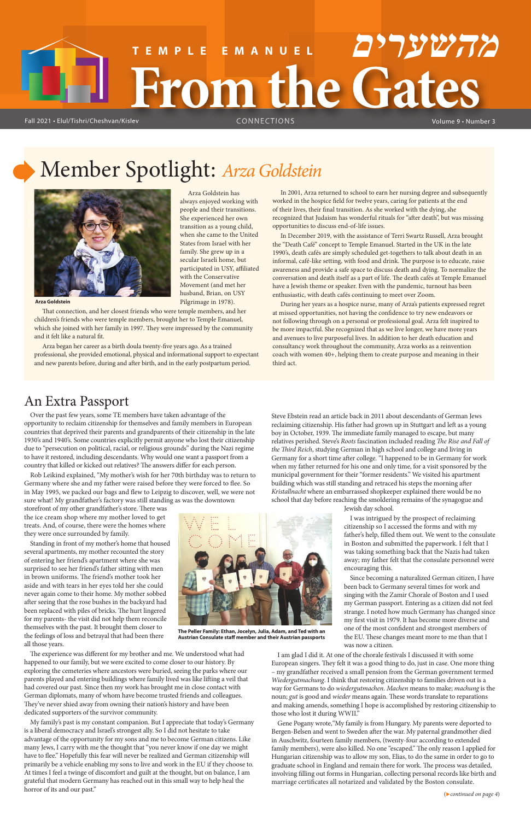# Member Spotlight: *Arza Goldstein*

Arza Goldstein has always enjoyed working with people and their transitions. She experienced her own transition as a young child, when she came to the United States from Israel with her family. She grew up in a secular Israeli home, but participated in USY, affiliated with the Conservative Movement (and met her husband, Brian, on USY Pilgrimage in 1978).

In 2001, Arza returned to school to earn her nursing degree and subsequently worked in the hospice field for twelve years, caring for patients at the end of their lives, their final transition. As she worked with the dying, she recognized that Judaism has wonderful rituals for "after death", but was missing opportunities to discuss end-of-life issues.

Over the past few years, some TE members have taken advantage of the opportunity to reclaim citizenship for themselves and family members in European countries that deprived their parents and grandparents of their citizenship in the late 1930's and 1940's. Some countries explicitly permit anyone who lost their citizenship due to "persecution on political, racial, or religious grounds" during the Nazi regime to have it restored, including descendants. Why would one want a passport from a country that killed or kicked out relatives? The answers differ for each person.

In December 2019, with the assistance of Terri Swartz Russell, Arza brought the "Death Café" concept to Temple Emanuel. Started in the UK in the late 1990's, death cafés are simply scheduled get-togethers to talk about death in an informal, café-like setting, with food and drink. The purpose is to educate, raise awareness and provide a safe space to discuss death and dying. To normalize the conversation and death itself as a part of life. The death cafés at Temple Emanuel have a Jewish theme or speaker. Even with the pandemic, turnout has been enthusiastic, with death cafés continuing to meet over Zoom.

storefront of my other grandfather's store. There was the ice cream shop where my mother loved to get treats. And, of course, there were the homes where they were once surrounded by family.

During her years as a hospice nurse, many of Arza's patients expressed regret at missed opportunities, not having the confidence to try new endeavors or not following through on a personal or professional goal. Arza felt inspired to be more impactful. She recognized that as we live longer, we have more years and avenues to live purposeful lives. In addition to her death education and consultancy work throughout the community, Arza works as a reinvention coach with women 40+, helping them to create purpose and meaning in their third act.

The experience was different for my brother and me. We understood what had happened to our family, but we were excited to come closer to our history. By exploring the cemeteries where ancestors were buried, seeing the parks where our parents played and entering buildings where family lived was like lifting a veil that had covered our past. Since then my work has brought me in close contact with German diplomats, many of whom have become trusted friends and colleagues. They've never shied away from owning their nation's history and have been dedicated supporters of the survivor community.

### An Extra Passport

Rob Leikind explained, "My mother's wish for her 70th birthday was to return to Germany where she and my father were raised before they were forced to flee. So in May 1995, we packed our bags and flew to Leipzig to discover, well, we were not sure what! My grandfather's factory was still standing as was the downtown

> Gene Pogany wrote,"My family is from Hungary. My parents were deported to Bergen-Belsen and went to Sweden after the war. My paternal grandmother died in Auschwitz, fourteen family members, (twenty-four according to extended family members), were also killed. No one "escaped." The only reason I applied for Hungarian citizenship was to allow my son, Elias, to do the same in order to go to graduate school in England and remain there for work. The process was detailed, involving filling out forms in Hungarian, collecting personal records like birth and marriage certificates all notarized and validated by the Boston consulate.

Standing in front of my mother's home that housed several apartments, my mother recounted the story of entering her friend's apartment where she was surprised to see her friend's father sitting with men in brown uniforms. The friend's mother took her aside and with tears in her eyes told her she could never again come to their home. My mother sobbed after seeing that the rose bushes in the backyard had been replaced with piles of bricks. The hurt lingered for my parents- the visit did not help them reconcile themselves with the past. It brought them closer to the feelings of loss and betrayal that had been there all those years.



# **From the Gates TEMPLE EMANUEL מהשערים**

Fall 2021 • Elul/Tishri/Cheshvan/Kislev **State CONNECTIONS** The World Volume 9 • Number 3

My family's past is my constant companion. But I appreciate that today's Germany is a liberal democracy and Israel's strongest ally. So I did not hesitate to take advantage of the opportunity for my sons and me to become German citizens. Like many Jews, I carry with me the thought that "you never know if one day we might have to flee." Hopefully this fear will never be realized and German citizenship will primarily be a vehicle enabling my sons to live and work in the EU if they choose to. At times I feel a twinge of discomfort and guilt at the thought, but on balance, I am grateful that modern Germany has reached out in this small way to help heal the horror of its and our past."



**Arza Goldstein**

That connection, and her closest friends who were temple members, and her children's friends who were temple members, brought her to Temple Emanuel, which she joined with her family in 1997. They were impressed by the community and it felt like a natural fit.

Arza began her career as a birth doula twenty-five years ago. As a trained professional, she provided emotional, physical and informational support to expectant and new parents before, during and after birth, and in the early postpartum period.

> Steve Ebstein read an article back in 2011 about descendants of German Jews reclaiming citizenship. His father had grown up in Stuttgart and left as a young boy in October, 1939. The immediate family managed to escape, but many relatives perished. Steve's *Roots* fascination included reading *The Rise and Fall of the Third Reich*, studying German in high school and college and living in Germany for a short time after college. "I happened to be in Germany for work when my father returned for his one and only time, for a visit sponsored by the municipal government for their "former residents." We visited his apartment building which was still standing and retraced his steps the morning after *Kristallnacht* where an embarrassed shopkeeper explained there would be no school that day before reaching the smoldering remains of the synagogue and

Jewish day school.

I was intrigued by the prospect of reclaiming citizenship so I accessed the forms and with my father's help, filled them out. We went to the consulate in Boston and submitted the paperwork. I felt that I was taking something back that the Nazis had taken away; my father felt that the consulate personnel were encouraging this.

Since becoming a naturalized German citizen, I have been back to Germany several times for work and singing with the Zamir Chorale of Boston and I used

my German passport. Entering as a citizen did not feel strange. I noted how much Germany has changed since my first visit in 1979. It has become more diverse and one of the most confident and strongest members of the EU. These changes meant more to me than that I was now a citizen.

I am glad I did it. At one of the chorale festivals I discussed it with some European singers. They felt it was a good thing to do, just in case. One more thing – my grandfather received a small pension from the German government termed *Wiedergutmachung*. I think that restoring citizenship to families driven out is a way for Germans to do *wiedergutmachen*. *Machen* means to make; *machung* is the noun; *gut* is good and *wieder* means again. These words translate to reparations and making amends, something I hope is accomplished by restoring citizenship to those who lost it during WWII."

**The Peller Family: Ethan, Jocelyn, Julia, Adam, and Ted with an Austrian Consulate sta member and their Austrian passports**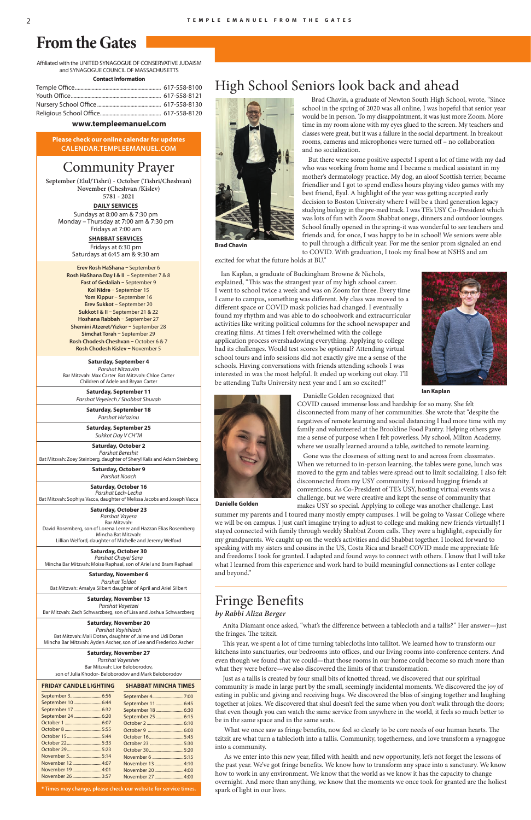Affiliated with the UNITED SYNAGOGUE OF CONSERVATIVE JUDAISM and SYNAGOGUE COUNCIL OF MASSACHUSETTS

**Contact Information**

#### **www.templeemanuel.com**

# **From the Gates**

**Please check our online calendar for updates CALENDAR.TEMPLEEMANUEL.COM**

# Community Prayer

**September (Elul/Tishri) - October (Tishri/Cheshvan) November (Cheshvan /Kislev)** 

**5781 - 2021**

**Saturday, September 4** *Parshat Nitzavim*  Bar Mitzvah: Max Carter Bat Mitzvah: Chloe Carter Children of Adele and Bryan Carter

> **Saturday, September 11** *Parshat Veyelech / Shabbat Shuvah*

> > **Saturday, September 18**  *Parshat Ha'azinu*

**Saturday, September 25**  *Sukkot Day V CH"M* 

**Saturday, October 2** *Parshat Bereshit* Bat Mitzvah: Zoey Steinberg, daughter of Sheryl Kalis and Adam Steinberg

> **Saturday, October 9** *Parshat Noach*

**Saturday, October 16** *Parshat Lech-Lecha* Bat Mitzvah: Sophiya Vacca, daughter of Melissa Jacobs and Joseph Vacca

**Saturday, October 23** *Parshat Vayera* Bar Mitzvah: David Rosemberg, son of Lorena Lerner and Hazzan Elias Rosemberg Mincha Bat Mitzvah: Lillian Welford, daughter of Michelle and Jeremy Welford

**Saturday, October 30** *Parshat Chayei Sara* Mincha Bar Mitzvah: Moise Raphael, son of Ariel and Bram Raphael

**Saturday, November 6** *Parshat Toldot* Bat Mitzvah: Amalya Silbert daughter of April and Ariel Silbert

**Saturday, November 13**

*Parshat Vayetzei* Bar Mitzvah: Zach Schwarzberg, son of Lisa and Joshua Schwarzberg

#### **Saturday, November 20**

*Parshat Vayishlach* Bat Mitzvah: Mali Dotan, daughter of Jaime and Udi Dotan Mincha Bar Mitzvah: Ayden Ascher, son of Lee and Frederico Ascher

#### **Saturday, November 27**

*Parshat Vayeshev* Bar Mitzvah: Lior Beloborodov, son of Julia Khodor- Beloborodov and Mark Beloborodov

**DAILY SERVICES** Sundays at 8:00 am & 7:30 pm Monday – Thursday at 7:00 am & 7:30 pm Fridays at 7:00 am

> **SHABBAT SERVICES** Fridays at 6:30 pm

Saturdays at 6:45 am & 9:30 am

This year, we spent a lot of time turning tablecloths into tallitot. We learned how to transform our kitchens into sanctuaries, our bedrooms into offices, and our living rooms into conference centers. And even though we found that we could—that those rooms in our home could become so much more than what they were before—we also discovered the limits of that transformation.

#### **FRIDAY CANDLE LIGHTING**

| September 10 6:44  |  |
|--------------------|--|
| September 17  6:32 |  |
|                    |  |
|                    |  |
|                    |  |
| October 155:44     |  |
|                    |  |
|                    |  |
|                    |  |
| November 124:07    |  |
| November 194:01    |  |
| November 263:57    |  |

What we once saw as fringe benefits, now feel so clearly to be core needs of our human hearts. The tzitzit are what turn a tablecloth into a tallis. Community, togetherness, and love transform a synagogue into a community.

As we enter into this new year, filled with health and new opportunity, let's not forget the lessons of the past year. We've got fringe benefits. We know how to transform any space into a sanctuary. We know how to work in any environment. We know that the world as we know it has the capacity to change overnight. And more than anything, we know that the moments we once took for granted are the holiest spark of light in our lives.

#### **SHABBAT MINCHA TIMES**

But there were some positive aspects! I spent a lot of time with my dad who was working from home and I became a medical assistant in my mother's dermatology practice. My dog, an aloof Scottish terrier, became friendlier and I got to spend endless hours playing video games with my best friend, Eyal. A highlight of the year was getting accepted early decision to Boston University where I will be a third generation legacy studying biology in the pre-med track. I was TE's USY Co-President which was lots of fun with Zoom Shabbat onegs, dinners and outdoor lounges. School finally opened in the spring-it was wonderful to see teachers and friends and, for once, I was happy to be in school! We seniors were able to pull through a difficult year. For me the senior prom signaled an end to COVID. With graduation, I took my final bow at NSHS and am

| October 305:20<br>November 6 5:15<br>November 13 4:10<br>November 27 4:00 |
|---------------------------------------------------------------------------|

**\* Times may change, please check our website for service times.**

Ian Kaplan, a graduate of Buckingham Browne & Nichols, explained, "This was the strangest year of my high school career. I went to school twice a week and was on Zoom for three. Every time I came to campus, something was different. My class was moved to a different space or COVID mask policies had changed. I eventually found my rhythm and was able to do schoolwork and extracurricular activities like writing political columns for the school newspaper and creating films. At times I felt overwhelmed with the college application process overshadowing everything. Applying to college had its challenges. Would test scores be optional? Attending virtual school tours and info sessions did not exactly give me a sense of the schools. Having conversations with friends attending schools I was interested in was the most helpful. It ended up working out okay. I'll be attending Tufts University next year and I am so excited!"



**Erev Rosh HaShana –** September 6 **Rosh HaShana Day I & II –** September 7 & 8 **Fast of Gedaliah –** September 9 **Kol Nidre –** September 15 **Yom Kippur –** September 16 **Erev Sukkot –** September 20 **Sukkot I & II –** September 21 & 22 **Hoshana Rabbah –** September 27 **Shemini Atzeret/Yizkor –** September 28 **Simchat Torah –** September 29 **Rosh Chodesh Cheshvan –** October 6 & 7 **Rosh Chodesh Kislev –** November 5

# *by Rabbi Aliza Berger*

Anita Diamant once asked, "what's the difference between a tablecloth and a tallis?" Her answer—just the fringes. The tzitzit.

 Just as a tallis is created by four small bits of knotted thread, we discovered that our spiritual community is made in large part by the small, seemingly incidental moments. We discovered the joy of eating in public and giving and receiving hugs. We discovered the bliss of singing together and laughing together at jokes. We discovered that shul doesn't feel the same when you don't walk through the doors; that even though you can watch the same service from anywhere in the world, it feels so much better to be in the same space and in the same seats.

## High School Seniors look back and ahead



 Brad Chavin, a graduate of Newton South High School, wrote, "Since school in the spring of 2020 was all online, I was hopeful that senior year would be in person. To my disappointment, it was just more Zoom. More time in my room alone with my eyes glued to the screen. My teachers and classes were great, but it was a failure in the social department. In breakout rooms, cameras and microphones were turned off – no collaboration and no socialization.

excited for what the future holds at BU."

Danielle Golden recognized that

COVID caused immense loss and hardship for so many. She felt

disconnected from many of her communities. She wrote that "despite the negatives of remote learning and social distancing I had more time with my



me a sense of purpose when I felt powerless. My school, Milton Academy, where we usually learned around a table, switched to remote learning. Gone was the closeness of sitting next to and across from classmates. When we returned to in-person learning, the tables were gone, lunch was moved to the gym and tables were spread out to limit socializing. I also felt disconnected from my USY community. I missed hugging friends at conventions. As Co-President of TE's USY, hosting virtual events was a challenge, but we were creative and kept the sense of community that

## Fringe Benefits

makes USY so special. Applying to college was another challenge. Last summer my parents and I toured many mostly empty campuses. I will be going to Vassar College where we will be on campus. I just can't imagine trying to adjust to college and making new friends virtually! I stayed connected with family through weekly Shabbat Zoom calls. They were a highlight, especially for my grandparents. We caught up on the week's activities and did Shabbat together. I looked forward to speaking with my sisters and cousins in the US, Costa Rica and Israel! COVID made me appreciate life and freedoms I took for granted. I adapted and found ways to connect with others. I know that I will take what I learned from this experience and work hard to build meaningful connections as I enter college and beyond."

**Brad Chavin**

**Ian Kaplan**

**Danielle Golden**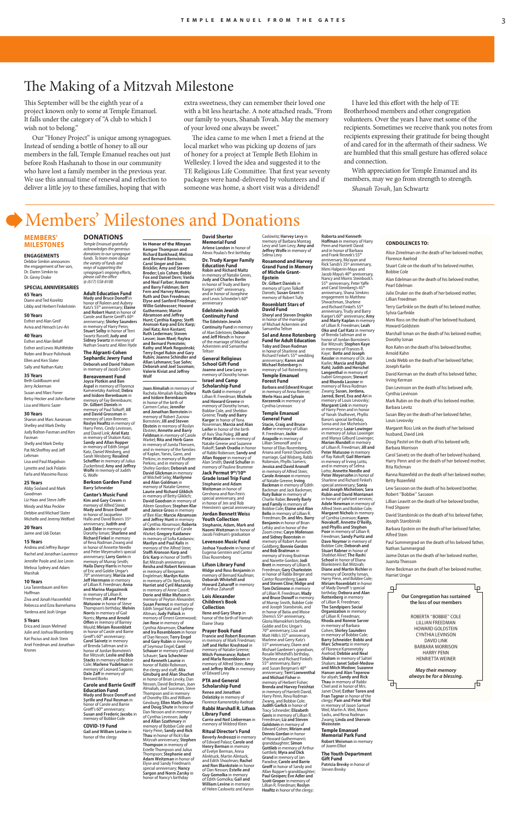# The Making of a Mitzvah Milestone

# Members' Milestones and Donations

#### **MEMBERS' MILESTONES**

#### **ENGAGEMENTS**

Debbie Simkin announces the engagement of her son, Dr. Daren Simkin to Dr. Ginny Drake

**SPECIAL ANNIVERSARIES 65 Years** Diane and Ted Korelitz Libby and Herbert Finkelstein

Jerry Ackerman Susan and Marc Foner Betsy Hecker and John Barter Lisa and Morris Sazer

#### **50 Years**

Esther and Alan Greif Aviva and Henoch Lev-Ari **40 Years** Esther and Alan Belo Esther and Lewis Muhlfelder

Robin and Bruce Polishook Ellen and Ken Slater Sally and Nathan Kaitz

#### **35 Years** Beth Goldbaum and

Andrea and Jeffrey Burger Rachel and Jonathan Laurence Jennifer Poole and Joe Levin Melissa Sydney and Adam Marshak

#### **30 Years**

Sharon and Marc Aaronson Shelley and Mark Derby Judy Bolton-Fasman and Ken Fasman Shelly and Mark Derby Pat McSheffrey and Jeff Lehman Lisa and Paul Magidson Lynette and Jack Polatin Farla and Massimo Russo

#### **25 Years**

Abby Sosland and Mark Goodman Liz Haas and Steve Joffe Mindy and Max Peckler Debbie and Michael Slater Michelle and Jeremy Welford

**20 Years** Jaime and Udi Dotan

#### **15 Years**

#### **10 Years**

Lisa Tanenbaum and Ken Hoffman Ziva and Jonah Hassenfeld

Rebecca and Ezra Barnehama Yardena and Josh Ungar

#### **5 Years**

Erica and Jason Melmed Julie and Joshua Bloomberg Kat Pocius and Josh Stein Ariel Friedman and Jonathan Krones

#### **CONDOLENCES TO:**

**Allan Lehmann; Sue Sohn; Deborah and Joel Sussman; Valerie Kiviat and Jeffrey** 

**Joan Almaliah** in memory of Rachela Almaliah Raibi; **Debra and Isidore Berenbaum** in honor of the birth of Carmen Cañas; **Jennifer and Jonathan Bornstein** in memory of Robert Zucrow Bornstein; **Jill and Steven Ebstein** in memory of Roslyn Ebstein; **Annette and Barry Feldman** in memory of Carole Warkel; **Rita and Herb Gann** in memory of Junita Thiessen, and in memory of the families of Kaplan, Yanes, Gann, and Perkins; in memory of Rueben Perkins, and in memory of Shirley Gordon; **Deborah and Shirley Gordon; Deborah and David Glickman** in memory of Mitchell Selig; **Marilynne and Alan Goldman** in memory of Natalie Greene; **Laurie and Richard Gliklich** in memory of Betty Gliklich; **David Goodson** in memory of Aileen Goodson; **Stephen Klar and Janice Gross** in memory of Ben Klar; **Marcie Abramson and Jerey Hunt** in memory of Cynthia Abramson; **Roberta Jacobs** in memory of Carole Warkel; **Gregory Kaidanov**<br>in memory of Sofia Kaidanov;<br>**Marilyn and Paul Kalis** in

Alice Zimelman on the death of her beloved mother, Florence Axelrod Stuart Cole on the death of his beloved mother, Bobbie Cole Alan Edelman on the death of his beloved mother, Pearl Edelman Julie Druker on the death of her beloved mother, Lillian Freedman Terry Garfinkle on the death of his beloved mother, Sylvia Garfinkle Mimi Ross on the death of her beloved husband, Howard Goldstein Marshall Isman on the death of his beloved mother, Dorothy Isman Ron Kahn on the death of his beloved brother, Arnold Kahn Linda Webb on the death of her beloved father, Joseph Karlin David Kerman on the death of his beloved father, Irving Kerman Dan Levinson on the death of his beloved wife, Cynthia Levinsor Mark Rubin on the death of his beloved mother, Barbara Levitz Susan Bley on the death of her beloved father, Louis Levovsky Margaret Ross Link on the death of her beloved husband, David Link Doug Pastel on the death of his beloved wife, Barbara Morrison Carol Saivetz on the death of her beloved husband, Harry Penn and on the death of her beloved mother, Rita Richman Ranna Rozenfeld on the death of her beloved mother, Betty Rozenfeld Lew Sassoon on the death of his beloved brother, Robert "Bobbie" Sassoon Lillian Leavitt on the death of her beloved brother, Fred Shporer David Starobinski on the death of his beloved father, Joseph Starobinski Barbara Epstein on the death of her beloved father, Alfred Stein Paul Summergrad on the death of his beloved father, Nathan Summergrad Jaime Dotan on the death of her beloved mother, Juanita Thiesson Ilene Beckman on the death of her beloved mother, Harriet Ungar

memory of the Alfred Stein;<br>**Steffi Aronson Karp and<br><b>Eric Karp** in honor of Steffi's Bat Mitzvah anniversary; **Reisha and Robert Kennison** in memory of Benjamin Englelman; **Marilyn Kutin** in memory of Dr. Neil Kutin; **Harriet and Cyril Mazansky** in memory of Anne Cassel; **Dorie and Mike Mufson** in memory of Peyton Alexander; **Susan Permut** in memory of Edith Singal Katz and Sydney Altman; **Judy Pollack** in

**Memorial Fund Arlene London** in honor of Alexis Poulas's first birthday **Dr. Trudy Karger Family Education Fund Robin and Richard Maltz**  in memory of Natalie Green,<br>**Judy and Charles Berlin** in honor of Trudy and Barry<br>Karger's 60<sup>th</sup> anniversary, and in honor of Josephine and Lewis Schneider's 60th

**In Honor of the Minyan Kemper Thompson and Richard Bankhead; Melissa and Bernard Bernstein; Carol Singer and Dan Bricklin; Amy and Steven Broder; Lois Cohen; Bobbi Fox and Daniel Dern; Varda and Neal Farber; Annette and Barry Feldman; Bert Fern and Harvey Mamon; Ruth and Don Freedman; Elyse and Sanford Friedman; Willie Goldwasser; Howard Guthermann; Marcie**  Abramson and Jeffrey **Hunt; Cynthia Kagno; Ste Aronson Karp and Eric Karp; Joel Katz; Ann Kostant; Ruth Lederman; Steven Lesser; Joan Mael; Raylea** 

**Terry Engel Rubin and Gary** 

**Wolf**

**Prayer Book Fund Francie and Robert Bossman** in memory of Mark Friedman;<br>**Jeff and Heller Kreshtool** in memory of Natalie Greene; **Mitch Pomerance; Robert and Marla Rosenbloom** in memory of Alfred Stein; **Amy and Jeffrey Wolfe** in memory<br>of Edward Levy

Caslowitz; **Harvey Levy** in memory of Barbara Montag Levy and Sam Levy; **Amy and Jeffrey Wolfe** in memory of<br>Selma Levy

in honor of Sharlene and<br>Richard Finkel's 55<sup>th</sup> wedding anniversary; **Karen and Michael Rotenberg** in memory of Sol Rotenberg **Temple Emanuel** 

**and Bernard Pemstein; Kathy and Mark Rogozinski; Rubin; Joanne Schindler and The Edelstein Jewish Continuity Fund** in memory of Alan Edelstein; **Deborah and Jeff Hirsch** in honor of the marriage of Michael Ackerstein and Samantha Teltser

**and Ira Rosenbloom** in honor of Dan Nesson; **Terry Engel and Gary Rubin** in memory of Seymour Engel; **Carol Schauer** in memory of David Schauer; **Sara Schechner and Kenneth Launie** in honor of Rabbi Robi the clergy and staff; Alix **Ginsburg and Alan Shuchat** in honor of Brian Levsky, Dan Nesson, David Beckman, Joan Almaliah, Joel Sussman, Steve Thompson and in memory of Dorothy Ellis and William Ginsburg; **Ellen Math-Shute and Doug Shute** in honor of Dan Nesson and in memory of Cynthia Levinson; **Judy and Allan Szathmary** in memory of Bobbie Cole and Harry Penn; **Sandy and Rick Thau** in honor of Rick's Bar Mitzvah anniversary; **Stephen Thompson** in memory of Estelle Thompson and Julius Thompson; **Stephanie and Adam Weitzman** in honor of Elyse and Sandy Friedman's special anniversary; **Nancy Sargon and Norm Zarsky** in honor of Nancy's birthday

#### **David Sherter**

anniversary **Edelstein Jewish Continuity Fund**

memory of Ernest Greenwood; **Jan Rose** in memory of Cynthia Abramson; **Charlene Ilene and Gary Sharp** in honor of the birth of Hannah Elaine Sharp

**General Religious School Gift Fund Joanne and Lew Levy** in memory of Dorothy Isman **Israel and Camp** 

#### **Scholarship Fund Ruth Gold** in memory of Lillian R. Freedman; **Michele and Howard Greene** in memory of Dorothy Isman, Bobbie Cole, and Sheldon Greene; **Trudy and Barry Karger** in honor of Yona Rosenman; **Marcia and Alan**

**Leifer** in honor of the birth of Aviv Shai Poleg; **Jill and Peter Matusow** in memory of Natalie Greene and Suzanne Rakoff; Sarah Ovadia in honor of Rabbi Robinson; **Sandy and Allan Ropper** in memory of Alan Smith; **David Schuller** in memory of Pauline Brummer

**Jack Permut 9th/10th Grade Israel Trip Fund Stephanie and Adam Weitzman** in honor of

Gershona and Ron Fein's special anniversary, and in honor of Jen and Rob Heinstein's special anniversary **Jordan Bennett Weiss Youth Collection Stephanie, Adam, Mark and** 

**Mady and Bruce Donoff** in<br>honor of Roleen and Aubrey<br>Katz's 55<sup>th</sup> anniversary; **Elaine and Robert Hurst** in honor of

> **Naomi Weitzman** in honor of Jacob Fridman's graduation **Levenson Music Fund Joshua Youdovin** in honor of Eugenia Gerstein and Cantor Elias Rosemberg

Carole and Barrie Greiff*'*s 60<sup>th</sup><br>anniversary; **Shirley Saunders** in memory of Harry Penn;<br>**Stuart Selby** in honor of Terri<br>Swartz Russell; **Judy and Sidney Swartz** in memory of Nathan Swartz and Allen Hyde **The Algranti-Cohen Sephardic Jewry Fund**

**Joyce Plotkin and Ben Aspel** in memory of Florence Kamenetzky Axelrod; **Debra and Isidore Berenbaum** in memory of Fay Berenbaum; **Dr. Gilbert Daniels** in memory of Paul Tolkoff; **Jill and David Grossman** in memory of Leon Brenner;<br>**Roslyn Heafitz** in memory of

> **Lifson Library Fund Midge and Ross Benjamin** in memory of Bernard Kaufman; **Deborah Whitehill and Howard Zaharoff** in memory of Arthur Zaharo

**Lois Alexander Children's Book** 

**Collection**

#### **PTA and General Scholarship Fund**

**Renee and Jonathan Delatizky** in memory of Florence Kamenetzky Axelrod **Rabbi Marshall R. Lifson Library Fund Carrie and Neil Lieberman** in memory of Mildred Klein

**Ritual Director's Fund Beverly Andreozzi** in memory of Edward Palasz; **Carole and Henry Berman** in memory of Evelyn Berman, Anna Alinktuck, Martin Alintuck, and Edith Shoolman; **Rachel and Ron Blankstein** in honor of Dan Nesson; **Estelle and Guy Gomolka** in memory of Edith Gomolka; **Gail and William Levine** in memory of Helen Caslowitz and Aaron

**Carole and Barrie Greiff Education Fund** Mady a<mark>nd Bruce Donoff and</mark><br>Syrille and Paul Rosman in honor of Carole and Barrie Greiff's 60<sup>th</sup> anniversary;<br>**Susan and Frederic Jacobs** in memory of Bobbie Cole

#### பி 4 **Our Congregation has sustained**

**the loss of our members** ROBERTA "BOBBIE" COLE LILLIAN FREEDMAN HOWARD GOLDSTEIN CYNTHIA LEVINSON DAVID LINK BARBARA MORRISON HARRY PENN HENRIETTA WEINER *May their memory always be for a blessing***.** 币 ╓╄

This September will be the eighth year of a project known only to some at Temple Emanuel. It falls under the category of "A club to which I wish not to belong."

> **Rosamond and Harvey Grand Fund in Memory of Michele Grant-Epstein Dr. Gilbert Daniels** in memory of Lynn Tolko

Daniels; **Susan Grant** in memory of Robert Tully **Rosenblatt Stars of David Fund Sheryl and Steven Dropkin** in honor of the marriage of Michael Ackerstein and Samantha Teltser **Sol and Anne Rotenberg Fund for Adult Education Toby and Dean Rodman**

The idea came to me when I met a friend at the local market who was picking up dozens of jars of honey for a project at Temple Beth Elohim in Wellesley. I loved the idea and suggested it to the TE Religious Life Committee. That first year seventy packages were hand-delivered by volunteers and if someone was home, a short visit was a dividend!

> **Forest Fund Barbara and Edward Krupat** in memory of Anna Riemer; **Merle Hass and Sylvain Korzennik** in memory of Cynthia Levinson

I have led this effort with the help of TE Brotherhood members and other congregation volunteers. Over the years I have met some of the recipients. Sometimes we receive thank you notes from recipients expressing their gratitude for being thought of and cared for in the aftermath of their sadness. We are humbled that this small gesture has offered solace and connection.

**Temple Emanuel General Fund Stacie, Craig and Bruce Adler** in memory of Lillian R. Freedman; **Jackie Anapolle** in memory of Lillian Simonoff and in honor of Elias Rosemberg, Ariana and Forest Diamond's marriage, Gail Wisberg, Rabbi Robinson, Phyllis Somers; **Jessica and David Arono** in memory of Alfred Stein; **Carole Aronson** in memory of Natalie Greene; **Irving Backman** in memory of Edith Backman and Jack Backman; **Ruty Bakor** in memory of Charlie Rabie; **Beverly Bavly and Family** in memory of Bobbie Cole; **Elaine and Alan Bello** in memory of Lillian R. Freedman; **Dr. and Mrs. Barry Benjamin** in honor of Brian Lefsky and in honor of the Zoom crew; **Caryn Mofenson and Sidney Boorstein** in memory of Robert Avrom Goldberg; **Bonnie Gordon and Bob Braitman** in memory of Irving Braitman and Nanette Gordon; **Jodi Brett** in memory of Lillian R. Freedman; **Gary Charlestein** in honor of Rabbi Berger and Cantor Rosemberg; **Laura** 

anniversary, Shana Simkins engagement to Matthew Shwachman, Sharlene

and Richard Finkel's 55<sup>th</sup><br>anniversary, Trudy and Barry<br>Karger's 60<sup>th</sup> anniversary; **Amy** 

**and Marty Kaplan** in memory of Lillian R. Freedman; **Leah Oko and Carl Katz** in memory

of Brenda Saltman and in honor of Jordan Bornstein's Bar Mitzvah; **Stephen Kaye**

**and Steven Cline; Midge and Tom DeSimone** in memory of Lillian R. Freedman; **Mady and Bruce Donoff in memory** of Murray Smith, Bobbie Cole and Joseph Starobinski, and in honor of Batia and Moise Shems's 55<sup>th</sup> anniversary,<br>Gloria Mamokhin's birthday, Goldie and Eric Ungar's 70<sup>th</sup> anniversary, Lisa and<br>Matt Hills's 35<sup>th</sup> anniversary,<br>Marlene and Gerry Katz's 55th anniversary, Diane and Michael Gardener's grandson, Rosalie Whitehill's birthday, Sharlene and Richard Finkel's 55<sup>th</sup> anniversary, Barry<br>and Susan Bergman's 40<sup>th</sup> anniversary; **Terri Loewenthal and Michael Fisher** in memory of Herbert Fisher; **Brenda and Harvey Freishtat**  in memory of Harriett David, Harry Penn, Reva Rodman ang, and Bobbie Cole; **Judith Garlick** in honor of Tracy Schneider; **Elizabeth Gavis** in memory of Lillian R. Freedman; **Liz and Steven Goldstein** in memory of Edward Cohen; **Miriam and Dennis Gordan** in honor of Howard Guthermann's granddaughter; **Simon Gottlieb** in memory of Arthur Gottlieb; **Myra and Dick Grand** in memory of Jan Paradise; **Carole and Barrie Greiff** in honor of Sandy and Allan Ropper's granddaughter; **Paul Groipen; Eve Adler and Scott Groper** in memory of Lillian R. Freedman; **Roslyn Heafitz** in honor of the clergy; **School** in honor of Eliana Blankstein's Bat Mitzvah; **Diane and Martin Richler** in memory of Dorothy Isman, Harry Penn, and Bobbie Cole; **Miriam Rosenblatt** in honor of Mady Donoff*'*s special<br>birthday; **Debora and Alan Rottenberg** in memory<br>of Lillian R. Freedman: of Lillian R. Freedman; **The Sandpipers Social Organization** in memory of Lillian R. Freedman; **Rhoda and Ronnie Sarver** in memory of Barbara Cohen; **Shirley Saunders** in memory of Bobbie Cole; **Barry Schneider**; **Bobbi and Marc Schwartz** in memory of Florence Kamenetzky Axelrod; **Debbie and Neal Shalom** in memory of Saltiel Shalom; **Janet Sobel-Medow and Mitch Medow**; **Suzanne Hanser and Alan Teperow**  for aliyah; **Sandy and Rick Thau** in memory of Rabbi Chiel and in honor of Mrs. Janet Chiel; **Esther Toren and Fran Tagner** in honor of the clergy; **Pam and Peter Weil** in memory of Jason Samuel Weil, Martin A. Weil, Morris Sacks, and Reva Rodman Zwang; **Linda and Sherwin Weinstein Temple Emanuel Memorial Park Fund Robert Weisman** in memory of Joann Elliot **The Youth Department Gift Fund Patricia Bresky** in honor of Steven Bresky

in memory of Frances R. Kaye; **Bette and Joseph Kessler** in memory of Dr. Joe Karlin; **Marcia and Ralph Kohl; Judith and Herschel Langenthal** in memory of Isabel Grinspoon; **Stewart and Rhonda Lassner** in memory of Reva Rodman Zwang; **Susan, Jordana, Jarrod, Berel, Eva and Ari** in memory of Louis Levovsky; **Margaret Link** in memory of Harry Penn and in honor of Yairah Shalhevet, Phyllis Baron's special birthday, Sonia and Joe Michelson's anniversary; **Lazar Lowinger** in memory of Julius Lowinger and Manya Gilburd Lowinger; **Marian Mandell** in memory of Lillian R. Freedman; **Jill and Peter Matusow** in memory<br>of Ray Rakoff; **Gail Merriam** in memory of Irving Lotto, and in memory of Selma Lotto; **Annette Needle and Peter Meyersohn** in honor of Sharlene and Richard Finkel's special anniversary; **Sonia and Joseph Michelson; Sara Rubin and David Montanari** in honor of yahrtzeit services; **Adele Newman** in memory of Alfred Stein and Bobbie Cole; **Margaret Nichols** in memory

of Cynthia Levinson; **Karen<br>Novakoff, Annette O'Reilly,<br>and Phyllis and Stephen** 

**Poor** in memory of Lillian R. Freedman; **Sandy Puritz and Dave Noymer** in memory of Bobbie Cole; **Deborah and Stuart Rabner** in honor of *Shabbat Alive!*; **The Rashi** 

and in honor of Barbara<br>and Frank Resnek's 55<sup>th</sup><br>anniversary, Ma'ayan and

#### **DONATIONS**

*Temple Emanuel gratefully acknowledges the generous donations to our synagogue funds. To learn more about the variety of funds and ways of supporting the synagogue's ongoing efforts,<br>please call the office @ (617) 558-8100.* **Adult Education Fund**

#### **Deborah and David Yoburn** in memory of Jacob Cohen **Bereavement Fund**

Harry Penn, Cindy Levinson, and David Link; **Ariel Katz** in memory of Shalom Katz; **Sandy and Allan Ropper**  in memory of Edith Singal Katz, Daniel Weisberg, and Sarah Weisberg; **Rosalind Scheffler** in memory of Julius<br>Zuckerbrod; **Amy and Jeffrey Wolfe** in memory of Judith G. Wolfe

#### **Berkson Garden Fund Barry Schneider**

**Cantor's Music Fund Kim and Gary Creem** in memory of Alfred Stein; **Mady and Bruce Dono** in honor of Jacqueline Hallo and David Bunis's 35<sup>th</sup> anniversary; **Judith and Jack Elder** in memory of Dorothy Isman; **Sharlene and Richard Finkel** in memory of Reva Rodman Zwang and in honor of Annette Needle and Peter Meyersohn's special anniversary; **Larry Gorin** in memory of Murray Smith; **Haila Darcy Harris** in honor of Eric and Goldie Ungar's 70th anniversary; **Marcia and Jeff Herrmann** in memory<br>of Lillian R. Freedman; **Anna and Marina Magazinnik** in memory of Lillian R. Freedman; **Jill and Peter** 

**Matusow** in honor of Steve Thompson's birthday; **Melvin Norris** in memory of Gail Norris; **Myrna and Arnold Offen** in memory of Barney<br>Mould; **Miriam Rosenblatt** in honor of Carole and Barrie Iff Honor of Carole and In **Carol Saivetz** in memory of Brenda Saltman and in honor of Jordan Bornstein's Bar Mitzvah; **Leslie and Bob Stacks** in memory of Bobbie Cole; **Marlene Yudelman** in memory of Leonard Sagorin; **Dale Zaff** in memory of Bernard Borks

**COVID-19 Fund Gail and William Levine** in honor of the clergy

Our "Honey Project" is unique among synagogues. Instead of sending a bottle of honey to all our members in the fall, Temple Emanuel reaches out just before Rosh Hashanah to those in our community who have lost a family member in the previous year. We use this annual time of renewal and reflection to deliver a little joy to these families, hoping that with

extra sweetness, they can remember their loved one with a bit less heartache. A note attached reads, "From our family to yours, Shanah Tovah. May the memory of your loved one always be sweet."

> With appreciation for Temple Emanuel and its members, may we go from strength to strength.

*Shanah Tovah*, Jan Schwartz

**Roberta and Kenneth<br><b>Hoffman** in memory of Harry<br>Penn and Harriett David

Rick Sands's 35<sup>th</sup> anniversary,<br>Mimi Halperin-Maya and<br>Jacob Maya's 40<sup>th</sup> anniversary,

Nancy and Morris Steinbock's<br>55<sup>th</sup> anniversary, Peter Yaffe<br>and Carol Steinberg's 45<sup>th</sup>